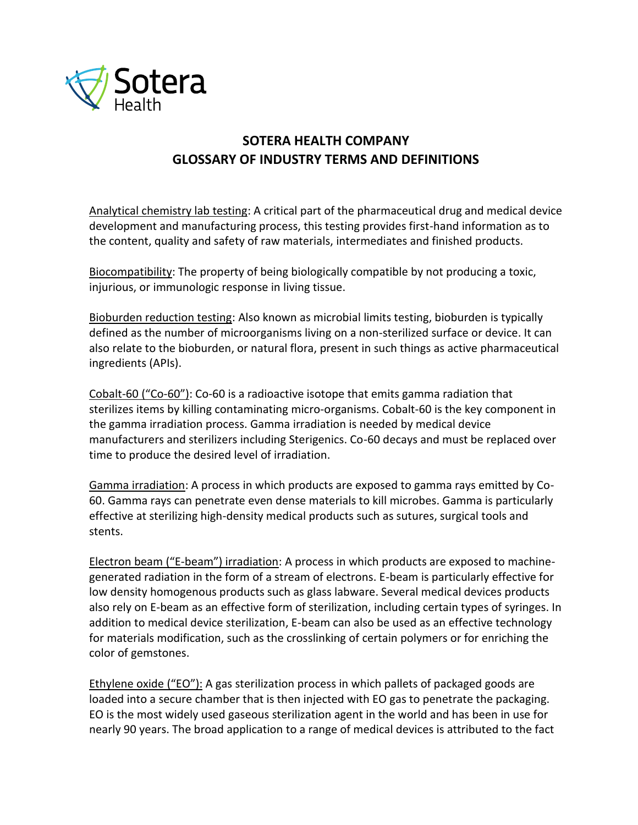

## **SOTERA HEALTH COMPANY GLOSSARY OF INDUSTRY TERMS AND DEFINITIONS**

Analytical chemistry lab testing: A critical part of the pharmaceutical drug and medical device development and manufacturing process, this testing provides first-hand information as to the content, quality and safety of raw materials, intermediates and finished products.

Biocompatibility: The property of being biologically compatible by not producing a toxic, injurious, or immunologic response in living tissue.

Bioburden reduction testing: Also known as microbial limits testing, bioburden is typically defined as the number of microorganisms living on a non-sterilized surface or device. It can also relate to the bioburden, or natural flora, present in such things as active pharmaceutical ingredients (APIs).

Cobalt-60 ("Co-60"): Co-60 is a radioactive isotope that emits gamma radiation that sterilizes items by killing contaminating micro-organisms. Cobalt-60 is the key component in the gamma irradiation process. Gamma irradiation is needed by medical device manufacturers and sterilizers including Sterigenics. Co-60 decays and must be replaced over time to produce the desired level of irradiation.

Gamma irradiation: A process in which products are exposed to gamma rays emitted by Co-60. Gamma rays can penetrate even dense materials to kill microbes. Gamma is particularly effective at sterilizing high-density medical products such as sutures, surgical tools and stents.

Electron beam ("E-beam") irradiation: A process in which products are exposed to machinegenerated radiation in the form of a stream of electrons. E-beam is particularly effective for low density homogenous products such as glass labware. Several medical devices products also rely on E-beam as an effective form of sterilization, including certain types of syringes. In addition to medical device sterilization, E-beam can also be used as an effective technology for materials modification, such as the crosslinking of certain polymers or for enriching the color of gemstones.

Ethylene oxide ("EO"): A gas sterilization process in which pallets of packaged goods are loaded into a secure chamber that is then injected with EO gas to penetrate the packaging. EO is the most widely used gaseous sterilization agent in the world and has been in use for nearly 90 years. The broad application to a range of medical devices is attributed to the fact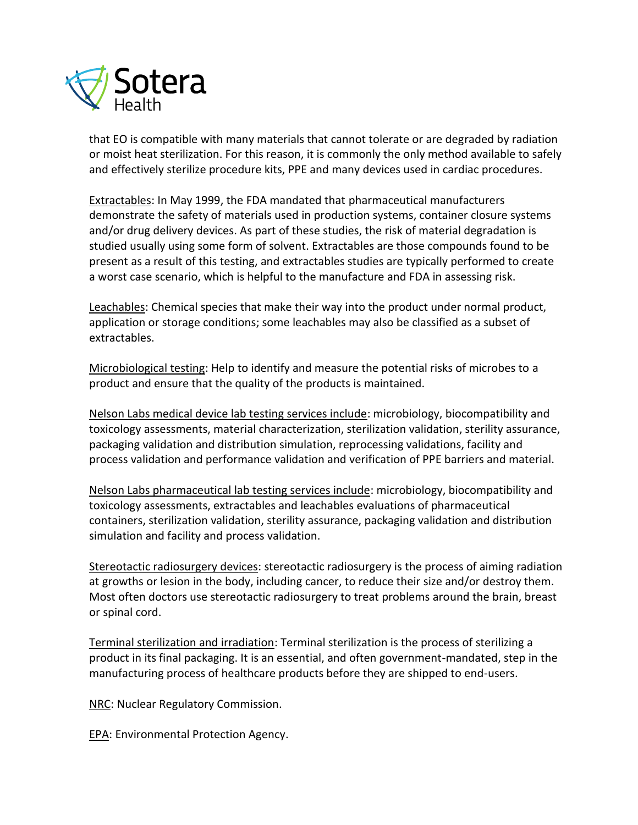

that EO is compatible with many materials that cannot tolerate or are degraded by radiation or moist heat sterilization. For this reason, it is commonly the only method available to safely and effectively sterilize procedure kits, PPE and many devices used in cardiac procedures.

Extractables: In May 1999, the FDA mandated that pharmaceutical manufacturers demonstrate the safety of materials used in production systems, container closure systems and/or drug delivery devices. As part of these studies, the risk of material degradation is studied usually using some form of solvent. Extractables are those compounds found to be present as a result of this testing, and extractables studies are typically performed to create a worst case scenario, which is helpful to the manufacture and FDA in assessing risk.

Leachables: Chemical species that make their way into the product under normal product, application or storage conditions; some leachables may also be classified as a subset of extractables.

Microbiological testing: Help to identify and measure the potential risks of microbes to a product and ensure that the quality of the products is maintained.

Nelson Labs medical device lab testing services include: microbiology, biocompatibility and toxicology assessments, material characterization, sterilization validation, sterility assurance, packaging validation and distribution simulation, reprocessing validations, facility and process validation and performance validation and verification of PPE barriers and material.

Nelson Labs pharmaceutical lab testing services include: microbiology, biocompatibility and toxicology assessments, extractables and leachables evaluations of pharmaceutical containers, sterilization validation, sterility assurance, packaging validation and distribution simulation and facility and process validation.

Stereotactic radiosurgery devices: stereotactic radiosurgery is the process of aiming radiation at growths or lesion in the body, including cancer, to reduce their size and/or destroy them. Most often doctors use stereotactic radiosurgery to treat problems around the brain, breast or spinal cord.

Terminal sterilization and irradiation: Terminal sterilization is the process of sterilizing a product in its final packaging. It is an essential, and often government-mandated, step in the manufacturing process of healthcare products before they are shipped to end-users.

**NRC: Nuclear Regulatory Commission.** 

EPA: Environmental Protection Agency.